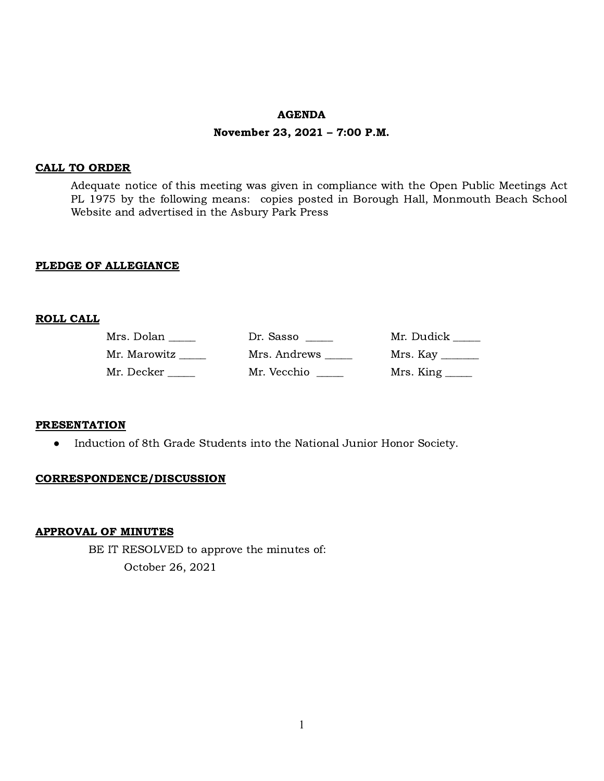## AGENDA November 23, 2021 – 7:00 P.M.

## CALL TO ORDER

Adequate notice of this meeting was given in compliance with the Open Public Meetings Act PL 1975 by the following means: copies posted in Borough Hall, Monmouth Beach School Website and advertised in the Asbury Park Press

### PLEDGE OF ALLEGIANCE

#### ROLL CALL

| Mrs. Dolan   | Dr. Sasso    | Mr. Dudick                       |
|--------------|--------------|----------------------------------|
| Mr. Marowitz | Mrs. Andrews | Mrs. Kay $\frac{1}{\sqrt{2\pi}}$ |
| Mr. Decker   | Mr. Vecchio  | Mrs. King $\_\_\_\_\_\_\$        |

### **PRESENTATION**

● Induction of 8th Grade Students into the National Junior Honor Society.

### CORRESPONDENCE/DISCUSSION

#### APPROVAL OF MINUTES

BE IT RESOLVED to approve the minutes of: October 26, 2021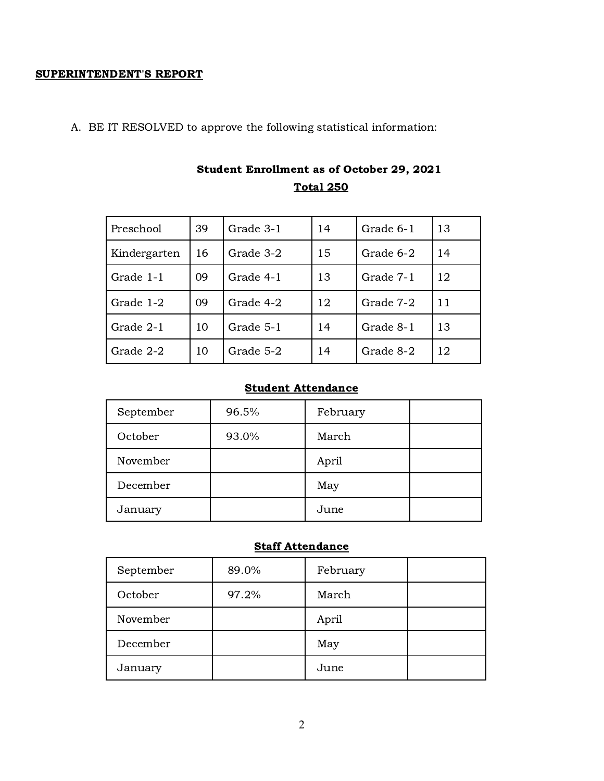### SUPERINTENDENT'S REPORT

A. BE IT RESOLVED to approve the following statistical information:

| Preschool    | 39 | Grade 3-1 | 14 | Grade 6-1 | 13 |
|--------------|----|-----------|----|-----------|----|
| Kindergarten | 16 | Grade 3-2 | 15 | Grade 6-2 | 14 |
| Grade 1-1    | 09 | Grade 4-1 | 13 | Grade 7-1 | 12 |
| Grade 1-2    | 09 | Grade 4-2 | 12 | Grade 7-2 | 11 |
| Grade 2-1    | 10 | Grade 5-1 | 14 | Grade 8-1 | 13 |
| Grade 2-2    | 10 | Grade 5-2 | 14 | Grade 8-2 | 12 |

# Student Enrollment as of October 29, 2021 Total 250

## Student Attendance

| September | 96.5% | February |  |
|-----------|-------|----------|--|
| October   | 93.0% | March    |  |
| November  |       | April    |  |
| December  |       | May      |  |
| January   |       | June     |  |

## **Staff Attendance**

| September | 89.0% | February |  |
|-----------|-------|----------|--|
| October   | 97.2% | March    |  |
| November  |       | April    |  |
| December  |       | May      |  |
| January   |       | June     |  |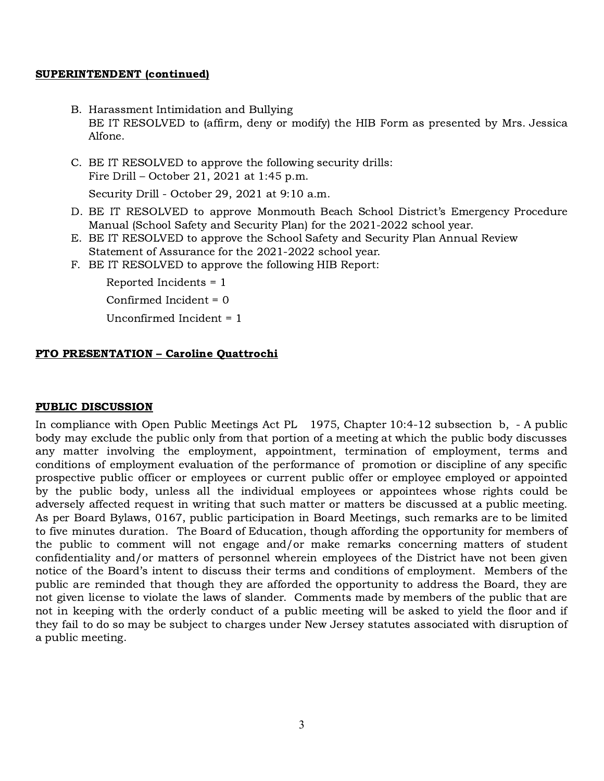### SUPERINTENDENT (continued)

- B. Harassment Intimidation and Bullying BE IT RESOLVED to (affirm, deny or modify) the HIB Form as presented by Mrs. Jessica Alfone.
- C. BE IT RESOLVED to approve the following security drills: Fire Drill – October 21, 2021 at 1:45 p.m.

Security Drill - October 29, 2021 at 9:10 a.m.

- D. BE IT RESOLVED to approve Monmouth Beach School District's Emergency Procedure Manual (School Safety and Security Plan) for the 2021-2022 school year.
- E. BE IT RESOLVED to approve the School Safety and Security Plan Annual Review Statement of Assurance for the 2021-2022 school year.
- F. BE IT RESOLVED to approve the following HIB Report:

Reported Incidents = 1 Confirmed Incident = 0 Unconfirmed Incident = 1

### PTO PRESENTATION – Caroline Quattrochi

### PUBLIC DISCUSSION

In compliance with Open Public Meetings Act PL 1975, Chapter 10:4-12 subsection b, - A public body may exclude the public only from that portion of a meeting at which the public body discusses any matter involving the employment, appointment, termination of employment, terms and conditions of employment evaluation of the performance of promotion or discipline of any specific prospective public officer or employees or current public offer or employee employed or appointed by the public body, unless all the individual employees or appointees whose rights could be adversely affected request in writing that such matter or matters be discussed at a public meeting. As per Board Bylaws, 0167, public participation in Board Meetings, such remarks are to be limited to five minutes duration. The Board of Education, though affording the opportunity for members of the public to comment will not engage and/or make remarks concerning matters of student confidentiality and/or matters of personnel wherein employees of the District have not been given notice of the Board's intent to discuss their terms and conditions of employment. Members of the public are reminded that though they are afforded the opportunity to address the Board, they are not given license to violate the laws of slander. Comments made by members of the public that are not in keeping with the orderly conduct of a public meeting will be asked to yield the floor and if they fail to do so may be subject to charges under New Jersey statutes associated with disruption of a public meeting.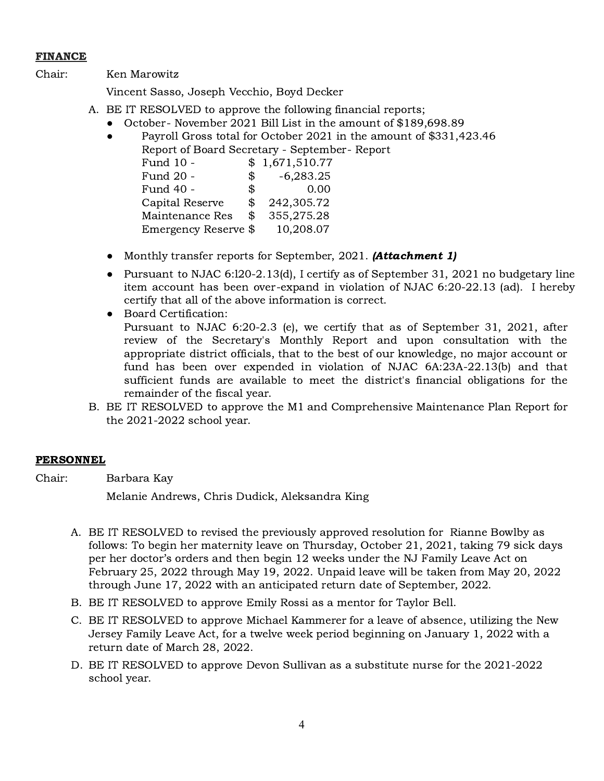## FINANCE

Chair: Ken Marowitz

Vincent Sasso, Joseph Vecchio, Boyd Decker

- A. BE IT RESOLVED to approve the following financial reports;
	- October- November 2021 Bill List in the amount of \$189,698.89
	- Payroll Gross total for October 2021 in the amount of \$331,423.46 Report of Board Secretary - September- Report

| Report of Board Secretary Septemb |               |              |
|-----------------------------------|---------------|--------------|
| Fund 10 -                         |               | 1,671,510.77 |
| Fund 20 -                         | $\frac{1}{2}$ | $-6,283.25$  |
| Fund 40 -                         | \$            | 0.00         |
| Capital Reserve                   | \$            | 242,305.72   |
| Maintenance Res                   | \$            | 355,275.28   |
| Emergency Reserve \$              |               | 10,208.07    |
|                                   |               |              |

- Monthly transfer reports for September, 2021. (**Attachment 1**)
- Pursuant to NJAC 6:l20-2.13(d), I certify as of September 31, 2021 no budgetary line item account has been over-expand in violation of NJAC 6:20-22.13 (ad). I hereby certify that all of the above information is correct.
- Board Certification: Pursuant to NJAC 6:20-2.3 (e), we certify that as of September 31, 2021, after review of the Secretary's Monthly Report and upon consultation with the appropriate district officials, that to the best of our knowledge, no major account or fund has been over expended in violation of NJAC 6A:23A-22.13(b) and that sufficient funds are available to meet the district's financial obligations for the remainder of the fiscal year.
- B. BE IT RESOLVED to approve the M1 and Comprehensive Maintenance Plan Report for the 2021-2022 school year.

## PERSONNEL

Chair: Barbara Kay

Melanie Andrews, Chris Dudick, Aleksandra King

- A. BE IT RESOLVED to revised the previously approved resolution for Rianne Bowlby as follows: To begin her maternity leave on Thursday, October 21, 2021, taking 79 sick days per her doctor's orders and then begin 12 weeks under the NJ Family Leave Act on February 25, 2022 through May 19, 2022. Unpaid leave will be taken from May 20, 2022 through June 17, 2022 with an anticipated return date of September, 2022.
- B. BE IT RESOLVED to approve Emily Rossi as a mentor for Taylor Bell.
- C. BE IT RESOLVED to approve Michael Kammerer for a leave of absence, utilizing the New Jersey Family Leave Act, for a twelve week period beginning on January 1, 2022 with a return date of March 28, 2022.
- D. BE IT RESOLVED to approve Devon Sullivan as a substitute nurse for the 2021-2022 school year.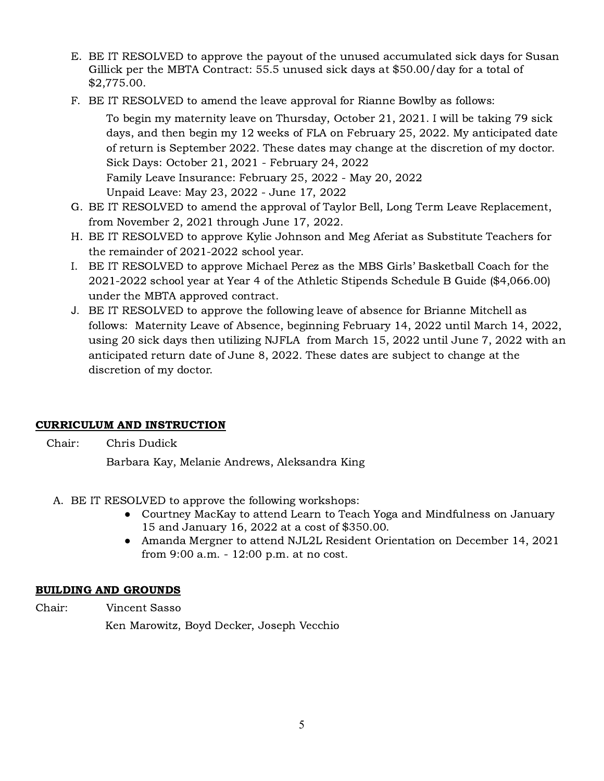- E. BE IT RESOLVED to approve the payout of the unused accumulated sick days for Susan Gillick per the MBTA Contract: 55.5 unused sick days at \$50.00/day for a total of \$2,775.00.
- F. BE IT RESOLVED to amend the leave approval for Rianne Bowlby as follows:

To begin my maternity leave on Thursday, October 21, 2021. I will be taking 79 sick days, and then begin my 12 weeks of FLA on February 25, 2022. My anticipated date of return is September 2022. These dates may change at the discretion of my doctor. Sick Days: October 21, 2021 - February 24, 2022 Family Leave Insurance: February 25, 2022 - May 20, 2022 Unpaid Leave: May 23, 2022 - June 17, 2022

- G. BE IT RESOLVED to amend the approval of Taylor Bell, Long Term Leave Replacement, from November 2, 2021 through June 17, 2022.
- H. BE IT RESOLVED to approve Kylie Johnson and Meg Aferiat as Substitute Teachers for the remainder of 2021-2022 school year.
- I. BE IT RESOLVED to approve Michael Perez as the MBS Girls' Basketball Coach for the 2021-2022 school year at Year 4 of the Athletic Stipends Schedule B Guide (\$4,066.00) under the MBTA approved contract.
- J. BE IT RESOLVED to approve the following leave of absence for Brianne Mitchell as follows: Maternity Leave of Absence, beginning February 14, 2022 until March 14, 2022, using 20 sick days then utilizing NJFLA from March 15, 2022 until June 7, 2022 with an anticipated return date of June 8, 2022. These dates are subject to change at the discretion of my doctor.

## CURRICULUM AND INSTRUCTION

Chair: Chris Dudick

Barbara Kay, Melanie Andrews, Aleksandra King

- A. BE IT RESOLVED to approve the following workshops:
	- Courtney MacKay to attend Learn to Teach Yoga and Mindfulness on January 15 and January 16, 2022 at a cost of \$350.00.
	- Amanda Mergner to attend NJL2L Resident Orientation on December 14, 2021 from 9:00 a.m. - 12:00 p.m. at no cost.

## BUILDING AND GROUNDS

Chair: Vincent Sasso

Ken Marowitz, Boyd Decker, Joseph Vecchio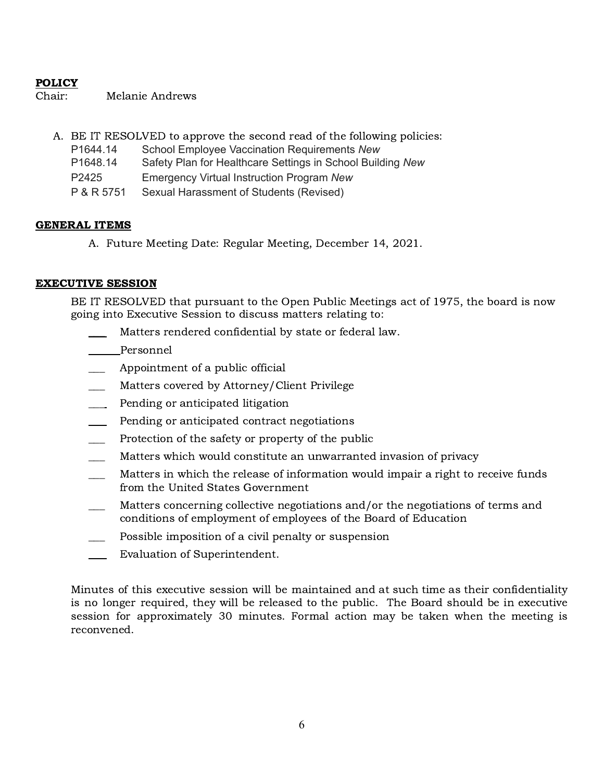## POLICY

Chair: Melanie Andrews

|                       | A. BE IT RESOLVED to approve the second read of the following policies: |
|-----------------------|-------------------------------------------------------------------------|
| P <sub>1644</sub> .14 | School Employee Vaccination Requirements New                            |
| P1648.14              | Safety Plan for Healthcare Settings in School Building New              |
| P <sub>2425</sub>     | <b>Emergency Virtual Instruction Program New</b>                        |
| P & R 5751            | Sexual Harassment of Students (Revised)                                 |

## GENERAL ITEMS

A. Future Meeting Date: Regular Meeting, December 14, 2021.

### EXECUTIVE SESSION

BE IT RESOLVED that pursuant to the Open Public Meetings act of 1975, the board is now going into Executive Session to discuss matters relating to:

- Matters rendered confidential by state or federal law.
- \_\_ Personnel
- \_\_\_ Appointment of a public official
- Matters covered by Attorney/Client Privilege
- Pending or anticipated litigation
- Pending or anticipated contract negotiations
- Protection of the safety or property of the public
- Matters which would constitute an unwarranted invasion of privacy
- Matters in which the release of information would impair a right to receive funds from the United States Government
- Matters concerning collective negotiations and/or the negotiations of terms and conditions of employment of employees of the Board of Education
- Possible imposition of a civil penalty or suspension
- Evaluation of Superintendent.

Minutes of this executive session will be maintained and at such time as their confidentiality is no longer required, they will be released to the public. The Board should be in executive session for approximately 30 minutes. Formal action may be taken when the meeting is reconvened.